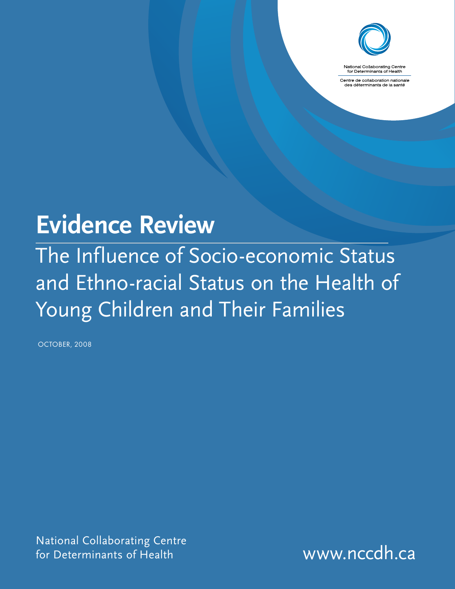

National Collaborating Centre<br>for Determinants of Health

Centre de collaboration nationale<br>des déterminants de la santé

# **Evidence Review** The Influence of Socio-economic Status and Ethno-racial Status on the Health of Young Children and Their Families

OCTOBER, 2008

National Collaborating Centre for Determinants of Health

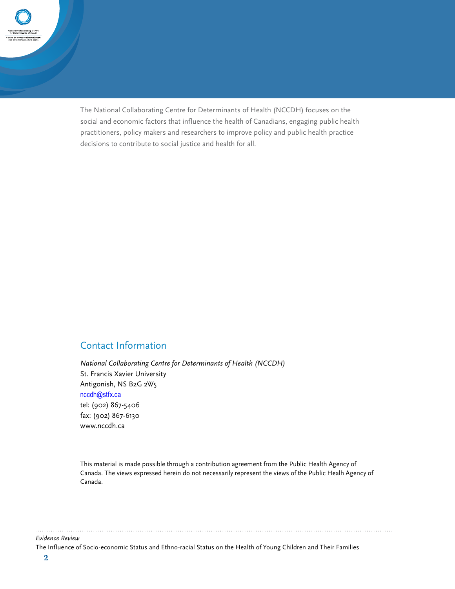The National Collaborating Centre for Determinants of Health (NCCDH) focuses on the social and economic factors that influence the health of Canadians, engaging public health practitioners, policy makers and researchers to improve policy and public health practice decisions to contribute to social justice and health for all.

### Contact Information

*National Collaborating Centre for Determinants of Health (NCCDH)* St. Francis Xavier University Antigonish, NS B2G 2W5 [nccdh@stfx.ca](mailto:nccdh@stfx.ca) tel: (902) 867-5406 fax: (902) 867-6130 www.nccdh.ca

This material is made possible through a contribution agreement from the Public Health Agency of Canada. The views expressed herein do not necessarily represent the views of the Public Healh Agency of Canada.

*Evidence Review*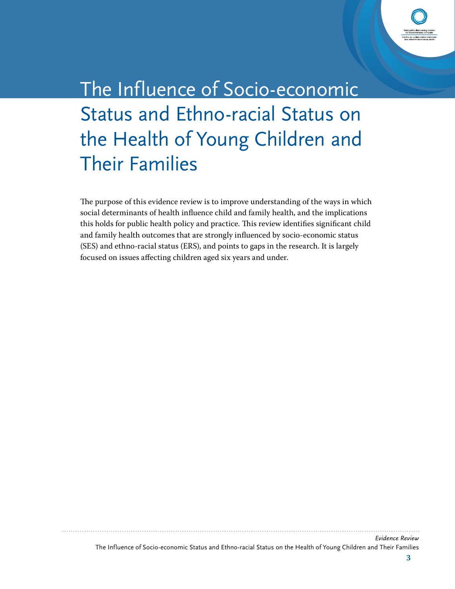

<span id="page-2-0"></span>The Influence of Socio-economic Status and Ethno-racial Status on the Health of Young Children and Their Families

The purpose of this evidence review is to improve understanding of the ways in which social determinants of health influence child and family health, and the implications this holds for public health policy and practice. This review identifies significant child and family health outcomes that are strongly influenced by socio-economic status (SES) and ethno-racial status (ERS), and points to gaps in the research. It is largely focused on issues affecting children aged six years and under.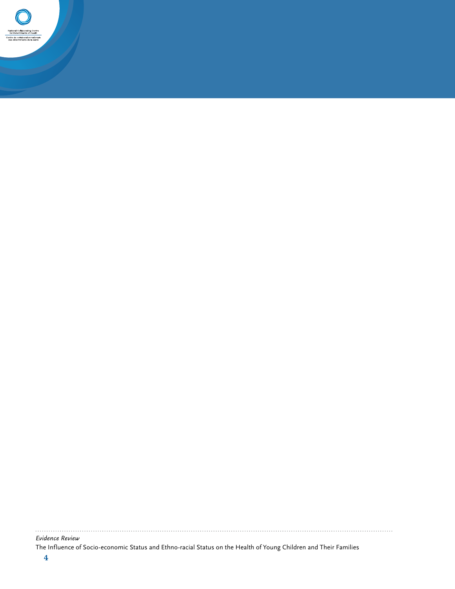

*Evidence Review*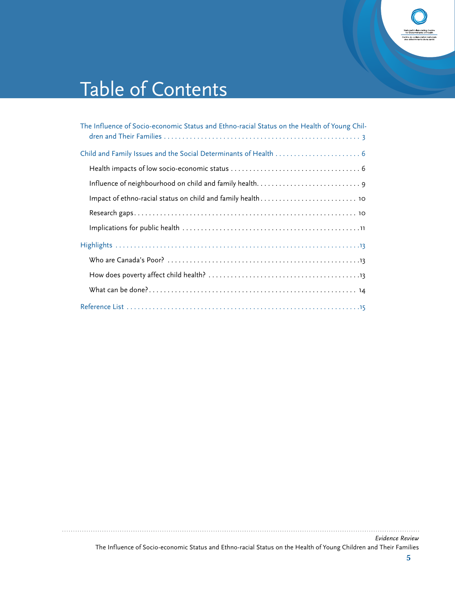

## Table of Contents

. . . . . . . . . . . . . .

| The Influence of Socio-economic Status and Ethno-racial Status on the Health of Young Chil- |
|---------------------------------------------------------------------------------------------|
|                                                                                             |
|                                                                                             |
|                                                                                             |
|                                                                                             |
|                                                                                             |
|                                                                                             |
|                                                                                             |
|                                                                                             |
|                                                                                             |
|                                                                                             |
|                                                                                             |

 $\ldots$  . . . .

. . . . . . . . . . .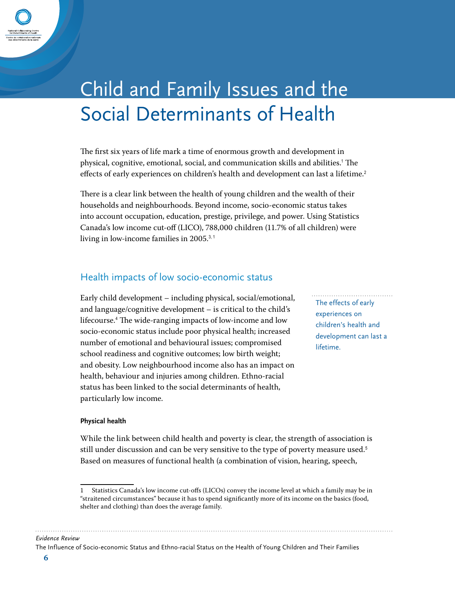## <span id="page-5-0"></span>Child and Family Issues and the Social Determinants of Health

The first six years of life mark a time of enormous growth and development in physical, cognitive, emotional, social, and communication skills and abilities.<sup>1</sup> The effects of early experiences on children's health and development can last a lifetime.<sup>2</sup>

There is a clear link between the health of young children and the wealth of their households and neighbourhoods. Beyond income, socio-economic status takes into account occupation, education, prestige, privilege, and power. Using Statistics Canada's low income cut-off (LICO), 788,000 children (11.7% of all children) were living in low-income families in 2005.<sup>3,1</sup>

## Health impacts of low socio-economic status

Early child development – including physical, social/emotional, and language/cognitive development – is critical to the child's lifecourse.<sup>4</sup> The wide-ranging impacts of low-income and low socio-economic status include poor physical health; increased number of emotional and behavioural issues; compromised school readiness and cognitive outcomes; low birth weight; and obesity. Low neighbourhood income also has an impact on health, behaviour and injuries among children. Ethno-racial status has been linked to the social determinants of health, particularly low income.

The effects of early experiences on children's health and development can last a lifetime.

#### **Physical health**

While the link between child health and poverty is clear, the strength of association is still under discussion and can be very sensitive to the type of poverty measure used.<sup>5</sup> Based on measures of functional health (a combination of vision, hearing, speech,

*Evidence Review*

<sup>1</sup> Statistics Canada's low income cut-offs (LICOs) convey the income level at which a family may be in "straitened circumstances" because it has to spend significantly more of its income on the basics (food, shelter and clothing) than does the average family.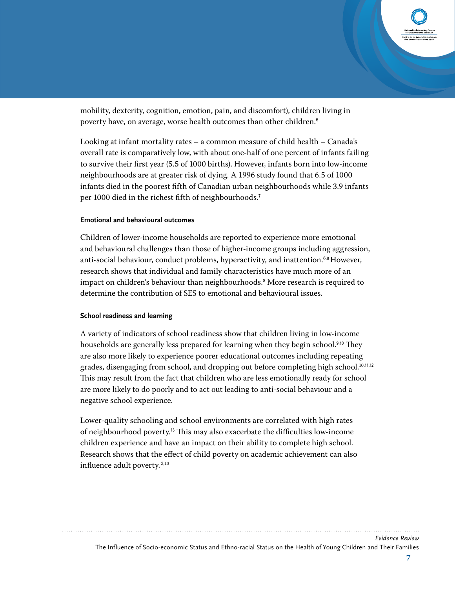

mobility, dexterity, cognition, emotion, pain, and discomfort), children living in poverty have, on average, worse health outcomes than other children.<sup>6</sup>

Looking at infant mortality rates – a common measure of child health – Canada's overall rate is comparatively low, with about one-half of one percent of infants failing to survive their first year (5.5 of 1000 births). However, infants born into low-income neighbourhoods are at greater risk of dying. A 1996 study found that 6.5 of 1000 infants died in the poorest fifth of Canadian urban neighbourhoods while 3.9 infants per 1000 died in the richest fifth of neighbourhoods.**<sup>7</sup>**

#### **Emotional and behavioural outcomes**

Children of lower-income households are reported to experience more emotional and behavioural challenges than those of higher-income groups including aggression, anti-social behaviour, conduct problems, hyperactivity, and inattention.<sup>6,8</sup> However, research shows that individual and family characteristics have much more of an impact on children's behaviour than neighbourhoods.8 More research is required to determine the contribution of SES to emotional and behavioural issues.

#### **School readiness and learning**

A variety of indicators of school readiness show that children living in low-income households are generally less prepared for learning when they begin school.<sup>9,10</sup> They are also more likely to experience poorer educational outcomes including repeating grades, disengaging from school, and dropping out before completing high school.<sup>10,11,12</sup> This may result from the fact that children who are less emotionally ready for school are more likely to do poorly and to act out leading to anti-social behaviour and a negative school experience.

Lower-quality schooling and school environments are correlated with high rates of neighbourhood poverty.<sup>13</sup> This may also exacerbate the difficulties low-income children experience and have an impact on their ability to complete high school. Research shows that the effect of child poverty on academic achievement can also influence adult poverty. $2,13$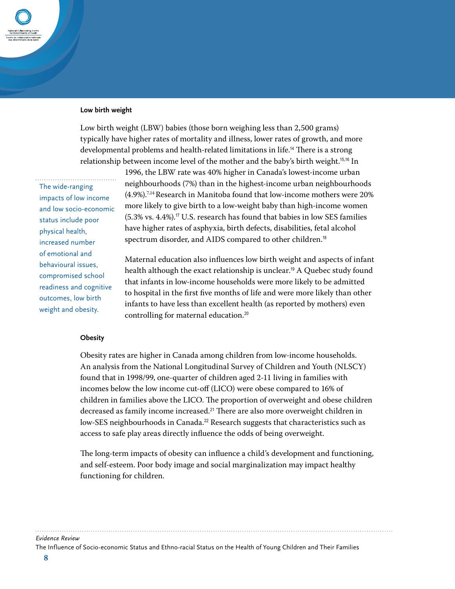#### **Low birth weight**

Low birth weight (LBW) babies (those born weighing less than 2,500 grams) typically have higher rates of mortality and illness, lower rates of growth, and more developmental problems and health-related limitations in life.<sup>14</sup> There is a strong relationship between income level of the mother and the baby's birth weight.<sup>15</sup>,<sup>16</sup> In

The wide-ranging impacts of low income and low socio-economic status include poor physical health, increased number of emotional and behavioural issues, compromised school readiness and cognitive outcomes, low birth weight and obesity.

1996, the LBW rate was 40% higher in Canada's lowest-income urban neighbourhoods (7%) than in the highest-income urban neighbourhoods (4.9%).7,14 Research in Manitoba found that low-income mothers were 20% more likely to give birth to a low-weight baby than high-income women  $(5.3\% \text{ vs. } 4.4\%).$ <sup>17</sup> U.S. research has found that babies in low SES families have higher rates of asphyxia, birth defects, disabilities, fetal alcohol spectrum disorder, and AIDS compared to other children.<sup>18</sup>

Maternal education also influences low birth weight and aspects of infant health although the exact relationship is unclear.<sup>19</sup> A Quebec study found that infants in low-income households were more likely to be admitted to hospital in the first five months of life and were more likely than other infants to have less than excellent health (as reported by mothers) even controlling for maternal education.<sup>20</sup>

#### **Obesity**

Obesity rates are higher in Canada among children from low-income households. An analysis from the National Longitudinal Survey of Children and Youth (NLSCY) found that in 1998/99, one-quarter of children aged 2-11 living in families with incomes below the low income cut-off (LICO) were obese compared to 16% of children in families above the LICO. The proportion of overweight and obese children decreased as family income increased.<sup>21</sup> There are also more overweight children in low-SES neighbourhoods in Canada.<sup>22</sup> Research suggests that characteristics such as access to safe play areas directly influence the odds of being overweight.

The long-term impacts of obesity can influence a child's development and functioning, and self-esteem. Poor body image and social marginalization may impact healthy functioning for children.

*Evidence Review*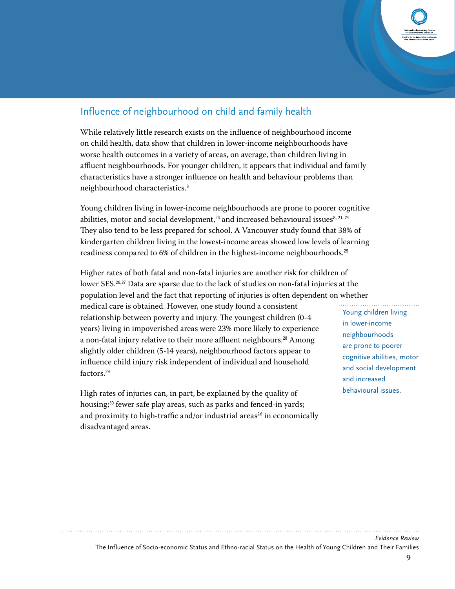## <span id="page-8-0"></span>Influence of neighbourhood on child and family health

While relatively little research exists on the influence of neighbourhood income on child health, data show that children in lower-income neighbourhoods have worse health outcomes in a variety of areas, on average, than children living in affluent neighbourhoods. For younger children, it appears that individual and family characteristics have a stronger influence on health and behaviour problems than neighbourhood characteristics.8

Young children living in lower-income neighbourhoods are prone to poorer cognitive abilities, motor and social development,<sup>23</sup> and increased behavioural issues<sup>8, 21, 24</sup> They also tend to be less prepared for school. A Vancouver study found that 38% of kindergarten children living in the lowest-income areas showed low levels of learning readiness compared to 6% of children in the highest-income neighbourhoods.<sup>25</sup>

Higher rates of both fatal and non-fatal injuries are another risk for children of lower SES.<sup>26,27</sup> Data are sparse due to the lack of studies on non-fatal injuries at the population level and the fact that reporting of injuries is often dependent on whether

medical care is obtained. However, one study found a consistent relationship between poverty and injury. The youngest children (0-4 years) living in impoverished areas were 23% more likely to experience a non-fatal injury relative to their more affluent neighbours.<sup>28</sup> Among slightly older children (5-14 years), neighbourhood factors appear to influence child injury risk independent of individual and household factors.<sup>29</sup>

High rates of injuries can, in part, be explained by the quality of housing;<sup>30</sup> fewer safe play areas, such as parks and fenced-in yards; and proximity to high-traffic and/or industrial areas<sup>26</sup> in economically disadvantaged areas.

Young children living in lower-income neighbourhoods are prone to poorer cognitive abilities, motor and social development and increased behavioural issues.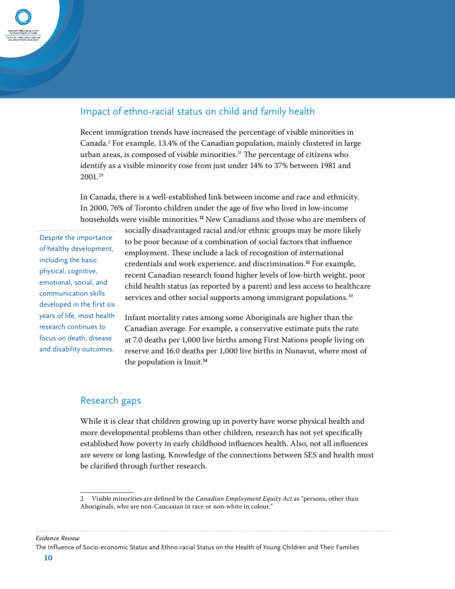## <span id="page-9-0"></span>Impact of ethno-racial status on child and family health

Recent immigration trends have increased the percentage of visible minorities in Canada.<sup>2</sup> For example, 13.4% of the Canadian population, mainly clustered in large urban areas, is composed of visible minorities.<sup>31</sup> The percentage of citizens who identify as a visible minority rose from just under 14% to 37% between 1981 and 2001.29

In Canada, there is a well-established link between income and race and ethnicity. In 2000, 76% of Toronto children under the age of five who lived in low-income households were visible minorities.**<sup>32</sup>** New Canadians and those who are members of

Despite the importance of healthy development, including the basic physical, cognitive, emotional, social, and communication skills developed in the first six years of life, most health research continues to focus on death, disease and disability outcomes.

socially disadvantaged racial and/or ethnic groups may be more likely to be poor because of a combination of social factors that influence employment. These include a lack of recognition of international credentials and work experience, and discrimination.**<sup>33</sup>** For example, recent Canadian research found higher levels of low-birth weight, poor child health status (as reported by a parent) and less access to healthcare services and other social supports among immigrant populations.<sup>30</sup>

Infant mortality rates among some Aboriginals are higher than the Canadian average. For example, a conservative estimate puts the rate at 7.0 deaths per 1,000 live births among First Nations people living on reserve and 16.0 deaths per 1,000 live births in Nunavut, where most of the population is Inuit.**<sup>34</sup>**

### Research gaps

While it is clear that children growing up in poverty have worse physical health and more developmental problems than other children, research has not yet specifically established how poverty in early childhood influences health. Also, not all influences are severe or long lasting. Knowledge of the connections between SES and health must be clarified through further research.

<sup>2</sup> Visible minorities are defined by the *Canadian Employment Equity Act* as "persons, other than Aboriginals, who are non-Caucasian in race or non-white in colour."

*Evidence Review*

The Influence of Socio-economic Status and Ethno-racial Status on the Health of Young Children and Their Families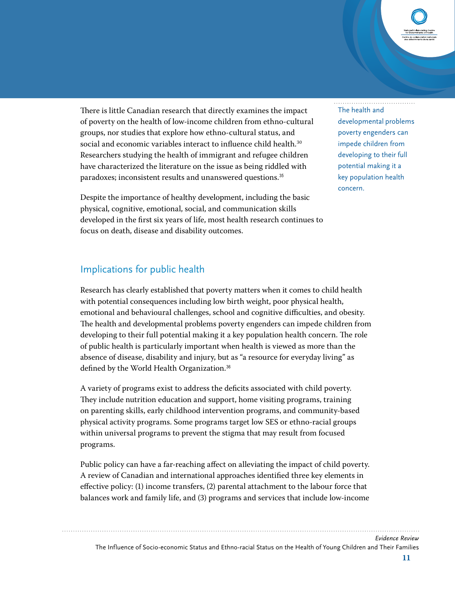<span id="page-10-0"></span>There is little Canadian research that directly examines the impact of poverty on the health of low-income children from ethno-cultural groups, nor studies that explore how ethno-cultural status, and social and economic variables interact to influence child health.<sup>30</sup> Researchers studying the health of immigrant and refugee children have characterized the literature on the issue as being riddled with paradoxes; inconsistent results and unanswered questions.<sup>35</sup>

Despite the importance of healthy development, including the basic physical, cognitive, emotional, social, and communication skills developed in the first six years of life, most health research continues to focus on death, disease and disability outcomes.

The health and developmental problems poverty engenders can impede children from developing to their full potential making it a key population health concern.

## Implications for public health

Research has clearly established that poverty matters when it comes to child health with potential consequences including low birth weight, poor physical health, emotional and behavioural challenges, school and cognitive difficulties, and obesity. The health and developmental problems poverty engenders can impede children from developing to their full potential making it a key population health concern. The role of public health is particularly important when health is viewed as more than the absence of disease, disability and injury, but as "a resource for everyday living" as defined by the World Health Organization.<sup>36</sup>

A variety of programs exist to address the deficits associated with child poverty. They include nutrition education and support, home visiting programs, training on parenting skills, early childhood intervention programs, and community-based physical activity programs. Some programs target low SES or ethno-racial groups within universal programs to prevent the stigma that may result from focused programs.

Public policy can have a far-reaching affect on alleviating the impact of child poverty. A review of Canadian and international approaches identified three key elements in effective policy: (1) income transfers, (2) parental attachment to the labour force that balances work and family life, and (3) programs and services that include low-income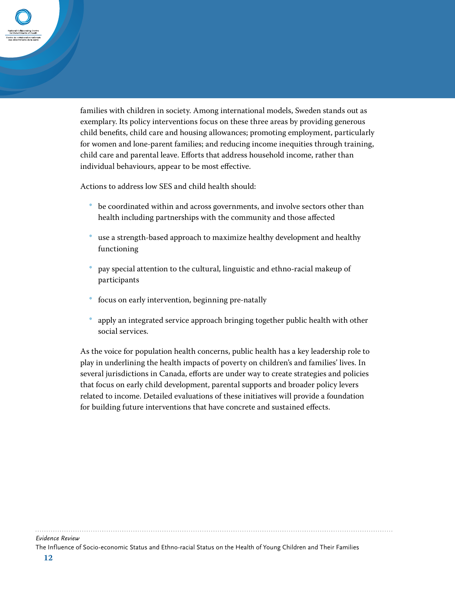families with children in society. Among international models, Sweden stands out as exemplary. Its policy interventions focus on these three areas by providing generous child benefits, child care and housing allowances; promoting employment, particularly for women and lone-parent families; and reducing income inequities through training, child care and parental leave. Efforts that address household income, rather than individual behaviours, appear to be most effective.

Actions to address low SES and child health should:

- $^{\ast}~$  be coordinated within and across governments, and involve sectors other than health including partnerships with the community and those affected
- $^{\ast}~$  use a strength-based approach to maximize healthy development and healthy functioning
- pay special attention to the cultural, linguistic and ethno-racial makeup of participants \*
- focus on early intervention, beginning pre-natally \*
- apply an integrated service approach bringing together public health with other social services. \*

As the voice for population health concerns, public health has a key leadership role to play in underlining the health impacts of poverty on children's and families' lives. In several jurisdictions in Canada, efforts are under way to create strategies and policies that focus on early child development, parental supports and broader policy levers related to income. Detailed evaluations of these initiatives will provide a foundation for building future interventions that have concrete and sustained effects.

*Evidence Review*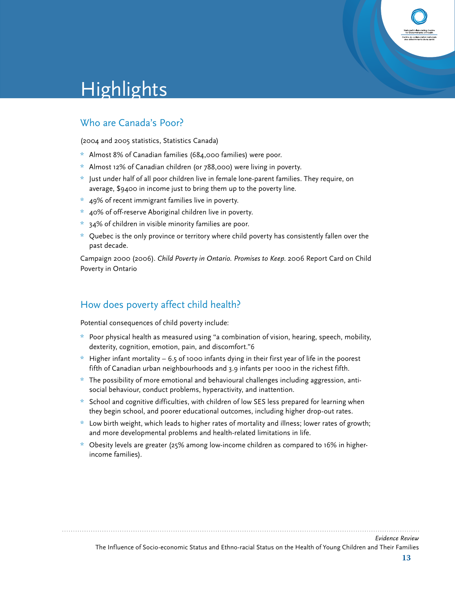## <span id="page-12-0"></span>**Highlights**

## Who are Canada's Poor?

(2004 and 2005 statistics, Statistics Canada)

- $^{\star}\;$  Almost 8% of Canadian families (684,000 families) were poor.
- $^\star$  Almost 12% of Canadian children (or 788,000) were living in poverty.
- $^\star$  )ust under half of all poor children live in female lone-parent families. They require, on average, \$9400 in income just to bring them up to the poverty line.
- $^{\star}~$  49% of recent immigrant families live in poverty.
- $*$  40% of off-reserve Aboriginal children live in poverty.
- $^{\star}~$  34% of children in visible minority families are poor.
- $\star$  Quebec is the only province or territory where child poverty has consistently fallen over the past decade.

Campaign 2000 (2006). *Child Poverty in Ontario. Promises to Keep*. 2006 Report Card on Child Poverty in Ontario

## How does poverty affect child health?

Potential consequences of child poverty include:

- $*$  Poor physical health as measured using "a combination of vision, hearing, speech, mobility,  $*$ dexterity, cognition, emotion, pain, and discomfort."6
- $*$  Higher infant mortality 6.5 of 1000 infants dying in their first year of life in the poorest fifth of Canadian urban neighbourhoods and 3.9 infants per 1000 in the richest fifth.
- $^\star$  The possibility of more emotional and behavioural challenges including aggression, antisocial behaviour, conduct problems, hyperactivity, and inattention.
- $*$  School and cognitive difficulties, with children of low SES less prepared for learning when  $*$ they begin school, and poorer educational outcomes, including higher drop-out rates.
- $*$  Low birth weight, which leads to higher rates of mortality and illness; lower rates of growth; and more developmental problems and health-related limitations in life.
- $^\star$  Obesity levels are greater (25% among low-income children as compared to 16% in higherincome families).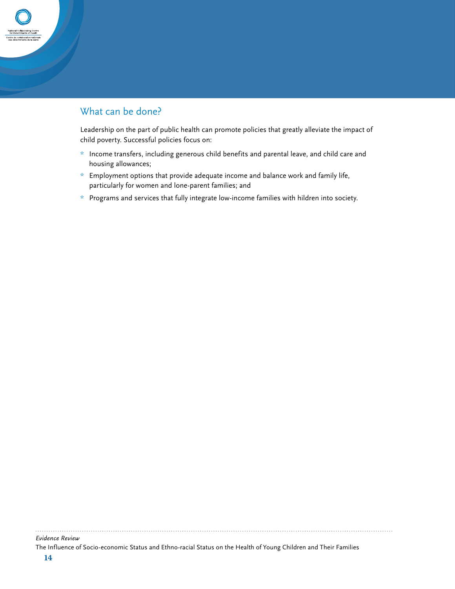## <span id="page-13-0"></span>What can be done?

Leadership on the part of public health can promote policies that greatly alleviate the impact of child poverty. Successful policies focus on:

- $\star$  Income transfers, including generous child benefits and parental leave, and child care and housing allowances;
- $*$  Employment options that provide adequate income and balance work and family life,  $\overline{\phantom{a}}$ particularly for women and lone-parent families; and
- $*$  Programs and services that fully integrate low-income families with hildren into society.

*Evidence Review*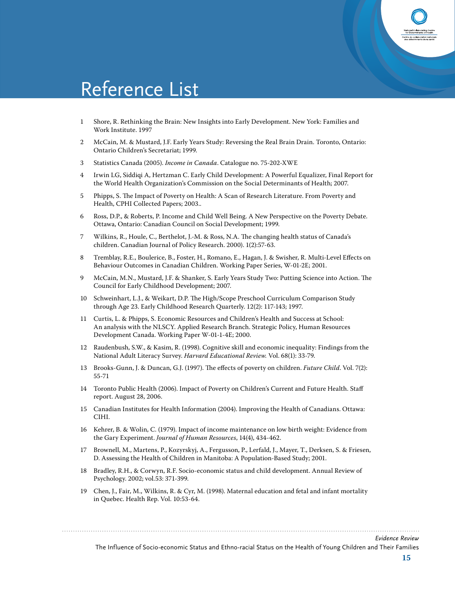<span id="page-14-0"></span>

- 1 Shore, R. Rethinking the Brain: New Insights into Early Development. New York: Families and Work Institute. 1997
- 2 McCain, M. & Mustard, J.F. Early Years Study: Reversing the Real Brain Drain. Toronto, Ontario: Ontario Children's Secretariat; 1999.
- 3 Statistics Canada (2005). *Income in Canada*. Catalogue no. 75-202-XWE
- 4 Irwin LG, Siddiqi A, Hertzman C. Early Child Development: A Powerful Equalizer, Final Report for the World Health Organization's Commission on the Social Determinants of Health; 2007.
- 5 Phipps, S. The Impact of Poverty on Health: A Scan of Research Literature. From Poverty and Health, CPHI Collected Papers; 2003..
- 6 Ross, D.P., & Roberts, P. Income and Child Well Being. A New Perspective on the Poverty Debate. Ottawa, Ontario: Canadian Council on Social Development; 1999.
- 7 Wilkins, R., Houle, C., Berthelot, J.-M. & Ross, N.A. The changing health status of Canada's children. Canadian Journal of Policy Research. 2000). 1(2):57-63.
- 8 Tremblay, R.E., Boulerice, B., Foster, H., Romano, E., Hagan, J. & Swisher, R. Multi-Level Effects on Behaviour Outcomes in Canadian Children. Working Paper Series, W-01-2E; 2001.
- 9 McCain, M.N., Mustard, J.F. & Shanker, S. Early Years Study Two: Putting Science into Action. The Council for Early Childhood Development; 2007.
- 10 Schweinhart, L.J., & Weikart, D.P. The High/Scope Preschool Curriculum Comparison Study through Age 23. Early Childhood Research Quarterly. 12(2): 117-143; 1997.
- 11 Curtis, L. & Phipps, S. Economic Resources and Children's Health and Success at School: An analysis with the NLSCY. Applied Research Branch. Strategic Policy, Human Resources Development Canada. Working Paper W-01-1-4E; 2000.
- 12 Raudenbush, S.W., & Kasim, R. (1998). Cognitive skill and economic inequality: Findings from the National Adult Literacy Survey. *Harvard Educational Review.* Vol. 68(1): 33-79.
- 13 Brooks-Gunn, J. & Duncan, G.J. (1997). The effects of poverty on children. *Future Child*. Vol. 7(2): 55-71
- 14 Toronto Public Health (2006). Impact of Poverty on Children's Current and Future Health. Staff report. August 28, 2006.
- 15 Canadian Institutes for Health Information (2004). Improving the Health of Canadians. Ottawa: CIHI.
- 16 Kehrer, B. & Wolin, C. (1979). Impact of income maintenance on low birth weight: Evidence from the Gary Experiment. *Journal of Human Resources*, 14(4), 434-462.
- 17 Brownell, M., Martens, P., Kozyrskyj, A., Fergusson, P., Lerfald, J., Mayer, T., Derksen, S. & Friesen, D. Assessing the Health of Children in Manitoba: A Population-Based Study; 2001.
- 18 Bradley, R.H., & Corwyn, R.F. Socio-economic status and child development. Annual Review of Psychology. 2002; vol.53: 371-399.
- 19 Chen, J., Fair, M., Wilkins, R. & Cyr, M. (1998). Maternal education and fetal and infant mortality in Quebec. Health Rep. Vol. 10:53-64.

*Evidence Review*